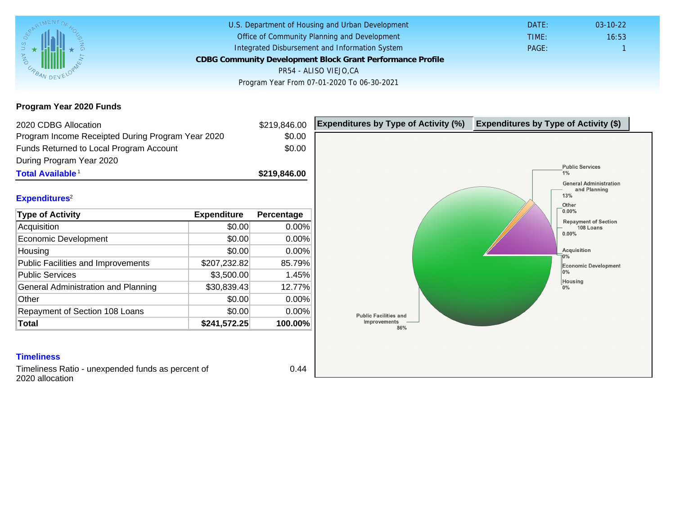Program Year 2020 Funds

| 2020 CDBG Allocation                                                 |              | \$219,846.00 | Expenditures by Type of Activity (%) | Expenditure |
|----------------------------------------------------------------------|--------------|--------------|--------------------------------------|-------------|
| Program Income Receipted During Program Year 2020                    |              | \$0.00       |                                      |             |
| Funds Returned to Local Program Account                              |              | \$0.00       |                                      |             |
| During Program Year 2020                                             |              |              |                                      |             |
| Total Available <sup>1</sup>                                         |              | \$219,846.00 |                                      |             |
| Expenditures <sup>2</sup>                                            |              |              |                                      |             |
| Type of Activity                                                     | Expenditure  | Percentage   |                                      |             |
| Acquisition                                                          | \$0.00       | 0.00%        |                                      |             |
| <b>Economic Development</b>                                          | \$0.00       | 0.00%        |                                      |             |
| Housing                                                              | \$0.00       | 0.00%        |                                      |             |
| <b>Public Facilities and Improvements</b>                            | \$207,232.82 | 85.79%       |                                      |             |
| <b>Public Services</b>                                               | \$3,500.00   | 1.45%        |                                      |             |
| General Administration and Planning                                  | \$30,839.43  | 12.77%       |                                      |             |
| Other                                                                | \$0.00       | 0.00%        |                                      |             |
| Repayment of Section 108 Loans                                       | \$0.00       | 0.00%        |                                      |             |
| Total                                                                | \$241,572.25 | 100.00%      |                                      |             |
|                                                                      |              |              |                                      |             |
| <b>Timeliness</b>                                                    |              |              |                                      |             |
| Timeliness Ratio - unexpended funds as percent of<br>2020 allocation |              | 0.44         |                                      |             |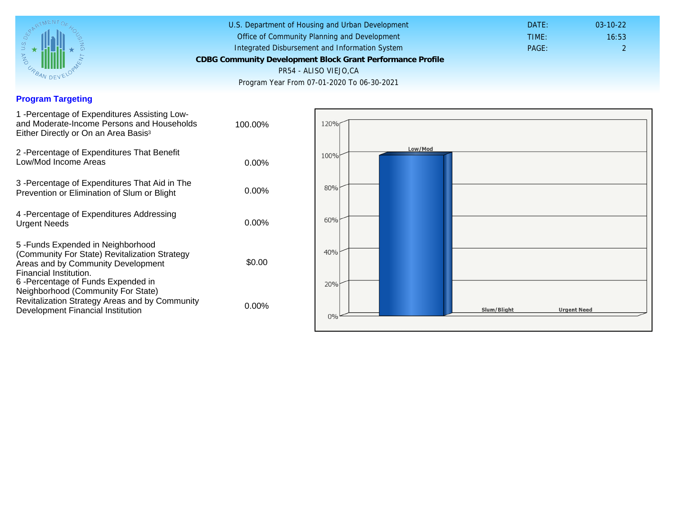## Program Targeting

| 1 - Percentage of Expenditures Assisting Low-<br>and Moderate-Income Persons and Households<br>Either Directly or On an Area Basis <sup>3</sup>                                                                              | 100.00%  |
|------------------------------------------------------------------------------------------------------------------------------------------------------------------------------------------------------------------------------|----------|
| 2 - Percentage of Expenditures That Benefit<br>Low/Mod Income Areas                                                                                                                                                          | $0.00\%$ |
| 3 -Percentage of Expenditures That Aid in The<br>Prevention or Elimination of Slum or Blight                                                                                                                                 | 0.00%    |
| 4 - Percentage of Expenditures Addressing<br><b>Urgent Needs</b>                                                                                                                                                             | $0.00\%$ |
| 5-Funds Expended in Neighborhood<br>(Community For State) Revitalization Strategy<br>Areas and by Community Development<br>Financial Institution.<br>6-Percentage of Funds Expended in<br>Neighborhood (Community For State) | \$0.00   |
| Revitalization Strategy Areas and by Community<br>Development Financial Institution                                                                                                                                          | $0.00\%$ |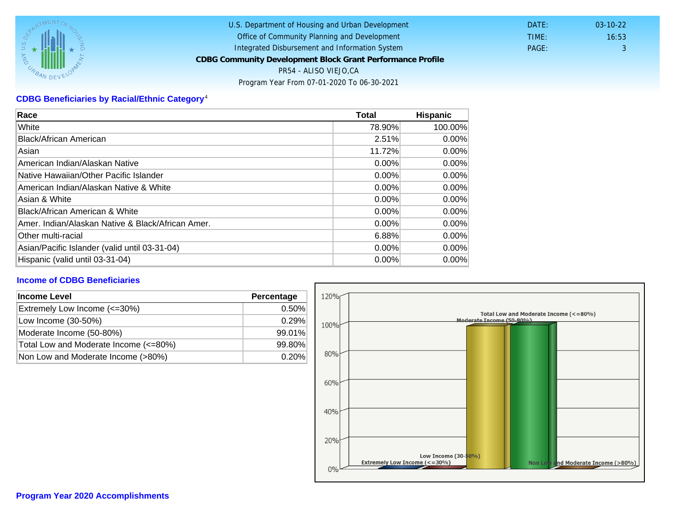# CDBG Beneficiaries by Racial/Ethnic Category <sup>4</sup>

| Race                                              | Total    | Hispanic |
|---------------------------------------------------|----------|----------|
| White                                             | 78.90%   | 100.00%  |
| Black/African American                            | 2.51%    | $0.00\%$ |
| Asian                                             | 11.72%   | $0.00\%$ |
| IAmerican Indian/Alaskan Native                   | $0.00\%$ | $0.00\%$ |
| lNative Hawaiian/Other Pacific Islander           | $0.00\%$ | $0.00\%$ |
| American Indian/Alaskan Native & White            | $0.00\%$ | $0.00\%$ |
| Asian & White                                     | 0.00%    | $0.00\%$ |
| Black/African American & White                    | $0.00\%$ | 0.00%    |
| Amer. Indian/Alaskan Native & Black/African Amer. | $0.00\%$ | $0.00\%$ |
| <b>Other multi-racial</b>                         | 6.88%    | 0.00%    |
| Asian/Pacific Islander (valid until 03-31-04)     | 0.00%    | 0.00%    |
| Hispanic (valid until 03-31-04)                   | $0.00\%$ | $0.00\%$ |

### Income of CDBG Beneficiaries

| Income Level                          | Percentage |
|---------------------------------------|------------|
| Extremely Low Income (<=30%)          | 0.50%      |
| Low Income (30-50%)                   | 0.29%      |
| Moderate Income (50-80%)              | 99.01%     |
| Total Low and Moderate Income (<=80%) | 99.80%     |
| Non Low and Moderate Income (>80%)    | 0.20%      |